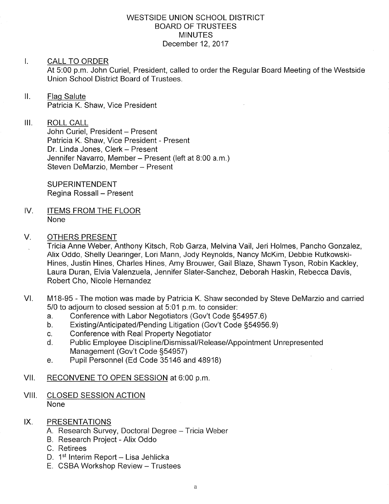#### WESTSIDE UNION SCHOOL DISTRICT BOARD OF TRUSTEES **MINUTES** December 12, 2017

#### I. CALL TO ORDER

At 5:00 p.m. John Curiel, President, called to order the Regular Board Meeting of the Westside Union School District Board of Trustees.

ll. Flaq Salute Patricia K. Shaw, Vice President

III. ROLL CALL John Curiel, President - Present Patricia K. Shaw, Vice President - Present

Dr. Linda Jones, Clerk - Present Jennifer Navarro, Member - Present (left at 8:00 a.m.) Steven DeMarzio, Member - Present

SUPERINTENDENT Regina Rossall - Present

- IV. ITEMS FROM THE FLOOR None
- $V_{\cdot}$ OTHERS PRESENT
	- Tricia Anne Weber, Anthony Kitsch, Rob Garza, Melvina Vail, Jeri Holmes, Pancho Gonzalez, Alix Oddo, Shelly Dearinger, Lori Mann, Jody Reynolds, Nancy McKim, Debbie Rutkowski-Hines, Justin Hines, Charles Hines, Amy Brouwer, Gail Blaze, Shawn Tyson, Robin Kackley, Laura Duran, Elvia Valenzuela, Jennifer Slater-Sanchez, Deborah Haskin, Rebecca Davis, Robert Cho, Nicole Hernandez
- VI. M18-95 The motion was made by Patricia K. Shaw seconded by Steve DeMarzio and carried 5/0 to adjourn to closed session at 5:01 p.m. to consider:
	-
	- a. Conference with Labor Negotiators (Gov't Code §54957.6)<br>b. Existing/Anticipated/Pending Litigation (Gov't Code §54956.9)<br>c. Conference with Real Property Negotiator
	-
	- c. Conference with Real Property Negotiator<br>d. Public Employee Discipline/Dismissal/Release/Appointment Unrepresented Management (Gov't Code §54957)<br>e. Pupil Personnel (Ed Code 35146 and 48918)
	-
- Vll. RECONVENE TO OPEN SESSION at 6:00 p.m
- VIII. CLOSED SESSION ACTION None
- IX. PRESENTATIONS
	- A. Research Survey, Doctoral Degree Tricia Weber
	- B. Research Project Alix Oddo
	- C. Retirees
	- D. 1<sup>st</sup> Interim Report Lisa Jehlicka
	- E. CSBA Workshop Review Trustees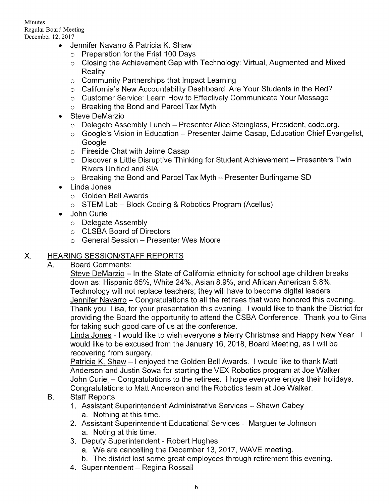- Jennifer Navarro & Patricia K. Shaw
	- o Preparation for the Frist 100 Days
	- o Closing the Achievement Gap with Technology: Virtual, Augmented and Mixed Reality
	- o Community Partnerships that lmpact Learning
	- o California's New Accountability Dashboard: Are Your Students in the Red?
	- o Customer Service: Learn How to Effectively Communicate Your Message
	- o Breaking the Bond and Parcel Tax Myth
- . Steve DeMarzio
	- o Delegate Assembly Lunch Presenter Alice Steinglass, President, code.org.
	- $\circ$  Google's Vision in Education Presenter Jaime Casap, Education Chief Evangelist, **Google**
	- o Fireside Chat with Jaime Casap
	- $\circ$  Discover a Little Disruptive Thinking for Student Achievement Presenters Twin Rivers Unified and SIA
	- $\circ$  Breaking the Bond and Parcel Tax Myth Presenter Burlingame SD
- . Linda Jones
	- o Golden Bell Awards
	- $\circ$  STEM Lab Block Coding & Robotics Program (Acellus)
- . John Curiel
	- o Delegate Assembly
	- o CLSBA Board of Directors
	- o General Session Presenter Wes Moore

# X. HEARING SESSION/STAFF REPORTS

A. Board Comments:

Steve DeMarzio - In the State of California ethnicity for school age children breaks down as: Hispanic 65%, White 24%, Asian 8.9%, and African American 5.8%. Technology will not replace teachers; they will have to become digital leaders. Jennifer Navarro – Congratulations to all the retirees that were honored this evening. Thank you, Lisa, for your presentation this evening. I would like to thank the District for providing the Board the opportunity to attend the CSBA Conference. Thank you to Gina for taking such good care of us at the conference.

Linda Jones - I would like to wish everyone a Merry Christmas and Happy New Year. <sup>I</sup> would like to be excused from the January 16, 2018, Board Meeting, as I will be recovering from surgery.

Patricia K. Shaw - I enjoyed the Golden Bell Awards. I would like to thank Matt Anderson and Justin Sowa for starting the VEX Robotics program at Joe Walker. John Curiel - Congratulations to the retirees. I hope everyone enjoys their holidays. Congratulations to Matt Anderson and the Robotics team at Joe Walker.

- Staff Reports B.
	- 1. Assistant Superintendent Administrative Services Shawn Cabey a. Nothing at this time.
	- 2. Assistant Superintendent Educational Services Marguerite Johnson a. Noting at this time.
	- 3. Deputy Superintendent Robert Hughes
		- a. We are cancelling the December 13, 2017, WAVE meeting.
		- b. The district lost some great employees through retirement this evening.
	- 4. Superintendent Regina Rossall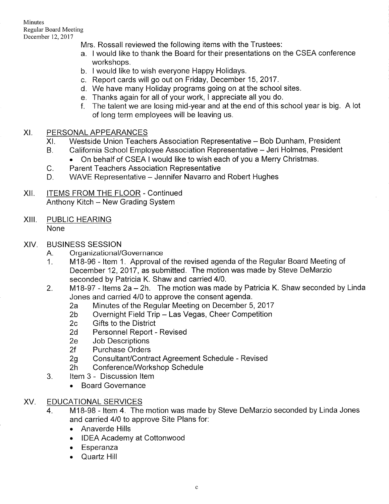Minutes Regular Board Meeting December 12, 2017

Mrs. Rossall reviewed the following items with the Trustees:

- a. I would like to thank the Board for their presentations on the CSEA conference workshops.
- b. I would like to wish everyone Happy Holidays.
- c. Report cards will go out on Friday, December 15, 2017.
- d. We have many Holiday programs going on at the school sites.
- e. Thanks again for all of your work, I appreciate all you do.
- <sup>f</sup>. The talent we are losing mid-year and at the end of this school year is big. A lot of long term employees will be leaving us.

## XI. PERSONAL APPEARANCES

- Westside Union Teachers Association Representative Bob Dunham, President  $X<sub>L</sub>$
- California School Employee Association Representative Jeri Holmes, President B.
	- . On behalf of CSEA I would like to wish each of you a Merry Christmas.
- Parent Teachers Association Representative C.
- WAVE Representative Jennifer Navarro and Robert Hughes  $D_{\cdot}$
- ITEMS FROM THE FLOOR Continued Anthony Kitch - New Grading System xil
- XIII. PUBLIC HEARING None
- XIV. BUSINESS SESSION
	-
	- A. Organizational/Governance<br>1. M18-96 Item 1. Approval of the revised agenda of the Regular Board Meeting of December 12,2017, as submitted. The motion was made by Steve DeMarzio seconded by Patricia K. Shaw and carried 4/0.<br>2. M18-97 - Items 2a – 2h. The motion was made by Patricia K. Shaw seconded by Linda
	- - Jones and carried 410 to approve the consent agenda. 2a Minutes of the Regular Meeting on December 5, <sup>2017</sup> 2b Overnight Field Trip Las Vegas, Cheer Competition 2c Gifts to the District
		-
		-
		- 2d Personnel Report Revised<br>2e Job Descriptions<br>2f Purchase Orders
		-
		-
	- 2g Consultant/Contract Agreement Schedule Revised<br>2h Conference/Workshop Schedule<br>3. ltem 3 Discussion Item
		-
		- - . Board Governance

# XV. EDUCATIONAL SERVICES

- M1B-98 ltem 4. The motion was made by Steve DeMarzio seconded by Linda Jones and carried 410 to approve Site Plans for: 4
	- . Anaverde Hills
	- . IDEA Academy at Cottonwood
	- . Esperanza
	- . Quartz Hill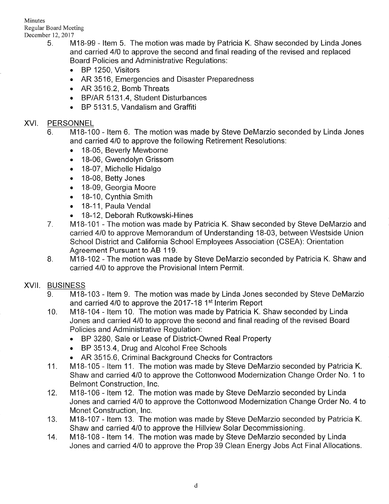Minutes Regular Board Meeting

- December 12, 2017<br>5. M18-99 Item 5. The motion was made by Patricia K. Shaw seconded by Linda Jones and carried 410 to approve the second and final reading of the revised and replaced Board Policies and Administrative Regulations:
	- . BP 1250, Visitors
	- AR 3516, Emergencies and Disaster Preparedness
	- . AR 3516.2, Bomb Threats
	- . BP/AR 5131.4, Student Disturbances
	- . BP 5131.5, Vandalism and Graffiti

## XVI. PERSONNEL

- $6.$ M1B-100 - ltem 6. The motion was made by Steve DeMarzio seconded by Linda Jones and carried 410 to approve the following Retirement Resolutions:
	- . 1B-05, Beverly Mewborne
	- . 18-06, Gwendolyn Grissom
	- . 18-07, Michelle Hidalgo
	- . 1B-08, Betty Jones
	- . 18-09, Georgia Moore
	- . 1B-10, Cynthia Smith
	- 18-11, Paula Vendal
	- . 18-12, Deborah Rutkowski-Hines
- 7 M1B-101 - The motion was made by Patricia K. Shaw seconded by Steve DeMarzio and carried 4/0 to approve Memorandum of Understanding 18-03, between Westside Union School District and California School Employees Association (CSEA): Orientation Agreement Pursuant to AB 119.
- B M1B-102 - The motion was made by Steve DeMarzio seconded by Patricia K. Shaw and carried 410 to approve the Provisional lntern Permit.

### XVII. BUSINESS

- $9<sub>1</sub>$ M1B-103 - ltem 9. The motion was made by Linda Jones seconded by Steve DeMarzio and carried 4/0 to approve the 2017-18 1<sup>st</sup> Interim Report
- 10 M18-104 - ltem 10. The motion was made by Patricia K. Shaw seconded by Linda Jones and carried 410 to approve the second and final reading of the revised Board Policies and Administrative Regulation:
	- . BP 3280, Sale or Lease of District-Owned Real Property
	- . BP 3513.4, Drug and Alcohol Free Schools
	- AR 3515.6, Criminal Background Checks for Contractors
- 11 M18-105 - Item 11. The motion was made by Steve DeMarzio seconded by Patricia K. Shaw and carried 410 to approve the Cottonwood Modernization Change Order No. 1 to Belmont Construction, lnc.
- 12 M18-106 - ltem 12. The motion was made by Steve DeMarzio seconded by Linda Jones and carried 410 to approve the Cottonwood Modernization Change Order No. 4 to Monet Construction, lnc.
- 13 M18-107 - ltem 13. The motion was made by Steve DeMarzio seconded by Patricia K. Shaw and carried 410 to approve the Hillview Solar Decommissioning.
- M1B-108 ltem 14. The motion was made by Steve DeMarzio seconded by Linda Jones and carried 410 to approve the Prop 39 Clean Energy Jobs Act Final Allocations. 14